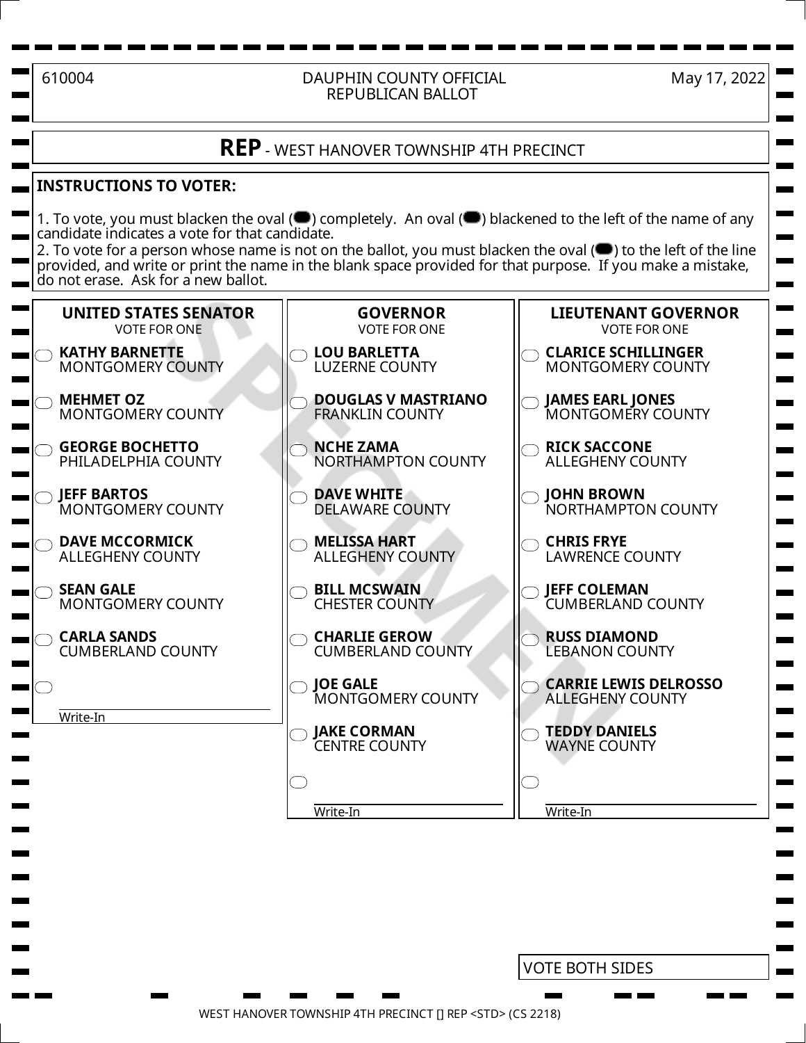## 610004 DAUPHIN COUNTY OFFICIAL REPUBLICAN BALLOT

May 17, 2022

## **REP**- WEST HANOVER TOWNSHIP 4TH PRECINCT

## **INSTRUCTIONS TO VOTER:**

1. To vote, you must blacken the oval  $(\blacksquare)$  completely. An oval  $(\blacksquare)$  blackened to the left of the name of any candidate indicates a vote for that candidate.

2. To vote for a person whose name is not on the ballot, you must blacken the oval  $($ **)** to the left of the line provided, and write or print the name in the blank space provided for that purpose. If you make a mistake, do not erase. Ask for a new ballot.